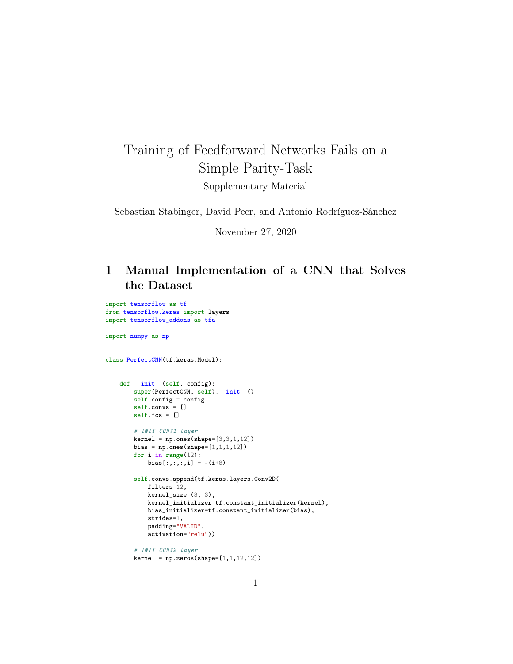## Training of Feedforward Networks Fails on a Simple Parity-Task Supplementary Material

Sebastian Stabinger, David Peer, and Antonio Rodríguez-Sánchez

November 27, 2020

## 1 Manual Implementation of a CNN that Solves the Dataset

import tensorflow as tf from tensorflow.keras import layers import tensorflow\_addons as tfa

import numpy as np

class PerfectCNN(tf.keras.Model):

```
def __init__(self, config):
    super(PerfectCNN, self).__init__()
    self.config = config
    self.convs = []
    self.fcs = []
    # INIT CONV1 layer
   kernel = np.ones(shape=[3,3,1,12])bias = np.ones(shape=[1,1,1,12])for i in range(12):
        bias[:, :, : , i] = -(i+8)self.convs.append(tf.keras.layers.Conv2D(
        filters=12,
        kernel_size=(3, 3),
        kernel_initializer=tf.constant_initializer(kernel),
        bias_initializer=tf.constant_initializer(bias),
        strides=1,
        padding="VALID",
        activation="relu"))
    # INIT CONV2 layer
    kernel = np.zeros(shape=[1,1,12,12])
```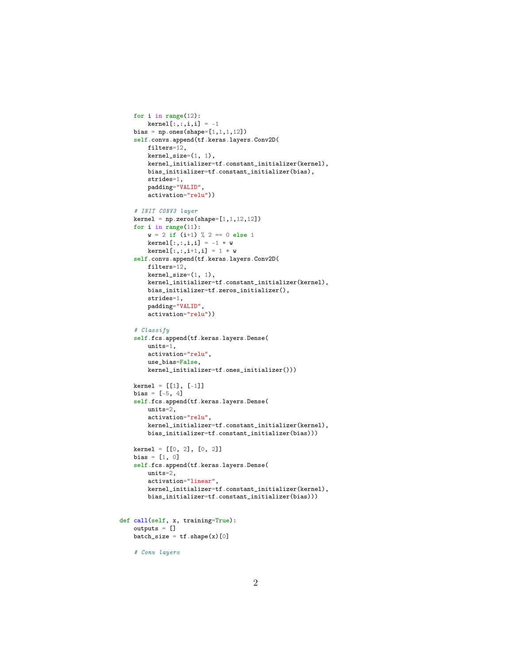```
for i in range(12):
        \text{kernel}[:,:,i,i] = -1bias = np.ones(shape=[1,1,1,12])self.convs.append(tf.keras.layers.Conv2D(
        filters=12,
        kernel_size=(1, 1),
        kernel_initializer=tf.constant_initializer(kernel),
        bias_initializer=tf.constant_initializer(bias),
        strides=1,
        padding="VALID",
        activation="relu"))
    # INIT CONV3 layer
    kernel = np.zeros(shape=[1,1,12,12])for i in range(11):
        w = 2 if (i+1) % 2 == 0 else 1
        kernal[:,:,i,i] = -1 * w\text{kernel}[:, :, i+1, i] = 1 * wself.convs.append(tf.keras.layers.Conv2D(
        filters=12,
        \text{kernel\_size}=(1, 1),
        kernel_initializer=tf.constant_initializer(kernel),
        bias_initializer=tf.zeros_initializer(),
        strides=1,
        padding="VALID",
        activation="relu"))
    # Classify
    self.fcs.append(tf.keras.layers.Dense(
        units=1,
        activation="relu",
        use_bias=False,
        kernel_initializer=tf.ones_initializer()))
    kernel = [[1], [-1]]
    bias = [-5, 4]self.fcs.append(tf.keras.layers.Dense(
        units=2,
        activation="relu",
        kernel_initializer=tf.constant_initializer(kernel),
        bias_initializer=tf.constant_initializer(bias)))
    kernel = [[0, 2], [0, 2]]
    bias = [1, 0]self.fcs.append(tf.keras.layers.Dense(
        units=2,
        activation="linear",
        kernel_initializer=tf.constant_initializer(kernel),
        bias_initializer=tf.constant_initializer(bias)))
def call(self, x, training=True):
    outputs = []
    batch_size = tf.shape(x)[0]# Conv layers
```